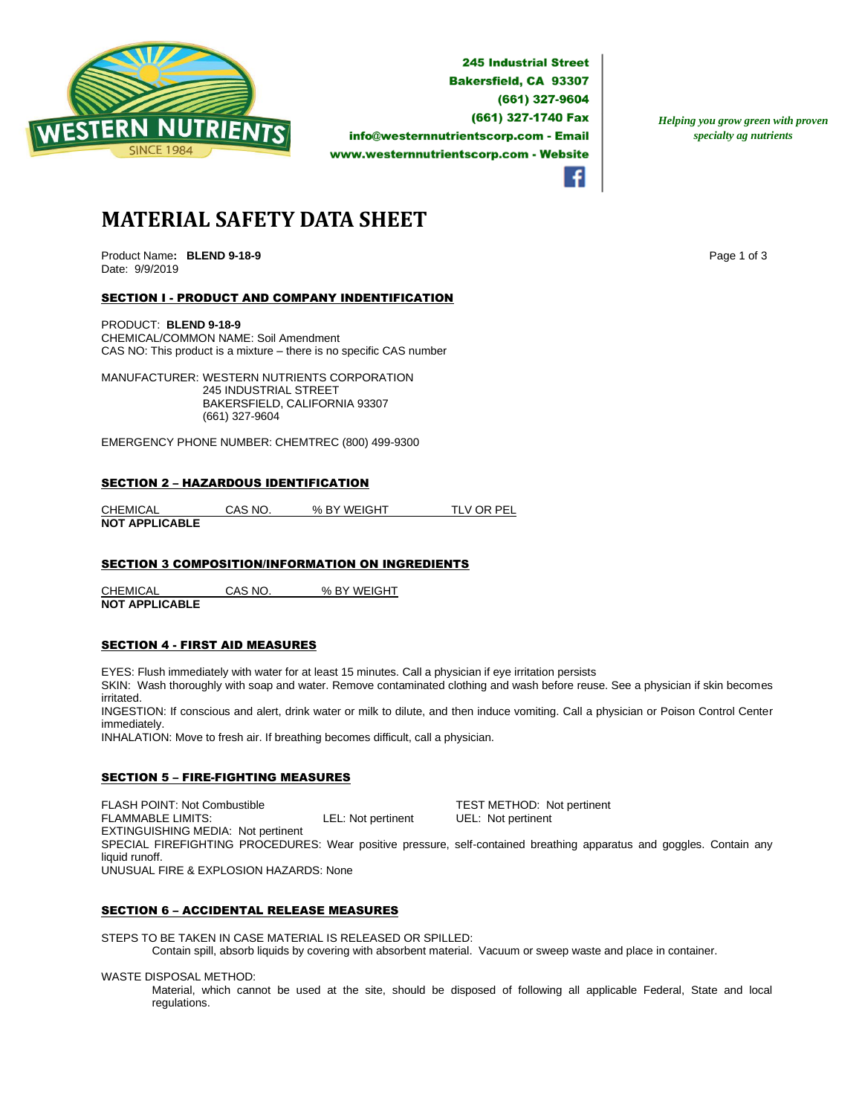

**245 Industrial Street Bakersfield, CA 93307** (661) 327-9604 (661) 327-1740 Fax info@westernnutrientscorp.com - Email www.westernnutrientscorp.com - Website

*Helping you grow green with proven specialty ag nutrients*

**MATERIAL SAFETY DATA SHEET**

Product Name: BLEND 9-18-9 **Page 1 of 3 Page 1 of 3 Page 1 of 3** Date: 9/9/2019

## SECTION I - PRODUCT AND COMPANY INDENTIFICATION

PRODUCT: **BLEND 9-18-9** CHEMICAL/COMMON NAME: Soil Amendment CAS NO: This product is a mixture – there is no specific CAS number

MANUFACTURER: WESTERN NUTRIENTS CORPORATION 245 INDUSTRIAL STREET BAKERSFIELD, CALIFORNIA 93307 (661) 327-9604

EMERGENCY PHONE NUMBER: CHEMTREC (800) 499-9300

#### SECTION 2 – HAZARDOUS IDENTIFICATION

CHEMICAL CAS NO. % BY WEIGHT TLV OR PEL **NOT APPLICABLE** 

## SECTION 3 COMPOSITION/INFORMATION ON INGREDIENTS

CHEMICAL CAS NO. % BY WEIGHT **NOT APPLICABLE** 

### SECTION 4 - FIRST AID MEASURES

EYES: Flush immediately with water for at least 15 minutes. Call a physician if eye irritation persists SKIN: Wash thoroughly with soap and water. Remove contaminated clothing and wash before reuse. See a physician if skin becomes

irritated. INGESTION: If conscious and alert, drink water or milk to dilute, and then induce vomiting. Call a physician or Poison Control Center immediately.

INHALATION: Move to fresh air. If breathing becomes difficult, call a physician.

# SECTION 5 – FIRE-FIGHTING MEASURES

FLASH POINT: Not Combustible  $\begin{array}{ccc}\n\text{TEST METHOD:} & \text{Not pertinent} \\
\text{FLAMMABLE LIMITS:} & \text{LEL: Not pertinent} & \text{UEL: Not pertinent}\n\end{array}$ LEL: Not pertinent UEL: Not pertinent EXTINGUISHING MEDIA: Not pertinent SPECIAL FIREFIGHTING PROCEDURES: Wear positive pressure, self-contained breathing apparatus and goggles. Contain any liquid runoff. UNUSUAL FIRE & EXPLOSION HAZARDS: None

### SECTION 6 – ACCIDENTAL RELEASE MEASURES

STEPS TO BE TAKEN IN CASE MATERIAL IS RELEASED OR SPILLED:

Contain spill, absorb liquids by covering with absorbent material. Vacuum or sweep waste and place in container.

WASTE DISPOSAL METHOD:

Material, which cannot be used at the site, should be disposed of following all applicable Federal, State and local regulations.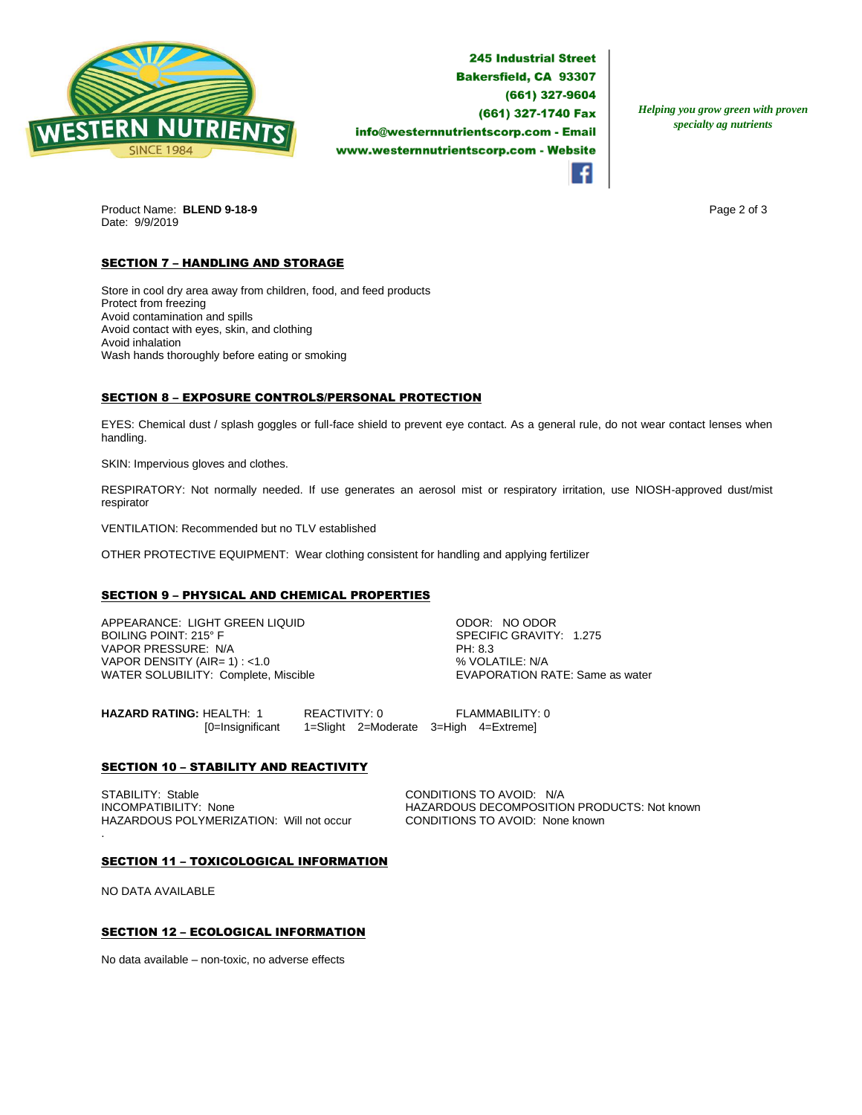

**245 Industrial Street Bakersfield, CA 93307** (661) 327-9604 (661) 327-1740 Fax info@westernnutrientscorp.com - Email www.westernnutrientscorp.com - Website

*Helping you grow green with proven specialty ag nutrients*

Product Name: **BLEND 9-18-9 Page 2 of 3 Page 2 of 3** Date: 9/9/2019

# **SECTION 7 - HANDLING AND STORAGE**

Store in cool dry area away from children, food, and feed products Protect from freezing Avoid contamination and spills Avoid contact with eyes, skin, and clothing Avoid inhalation Wash hands thoroughly before eating or smoking

## SECTION 8 – EXPOSURE CONTROLS/PERSONAL PROTECTION

EYES: Chemical dust / splash goggles or full-face shield to prevent eye contact. As a general rule, do not wear contact lenses when handling.

SKIN: Impervious gloves and clothes.

RESPIRATORY: Not normally needed. If use generates an aerosol mist or respiratory irritation, use NIOSH-approved dust/mist respirator

VENTILATION: Recommended but no TLV established

OTHER PROTECTIVE EQUIPMENT: Wear clothing consistent for handling and applying fertilizer

### SECTION 9 – PHYSICAL AND CHEMICAL PROPERTIES

APPEARANCE: LIGHT GREEN LIQUID ODOR: NO ODOR VAPOR PRESSURE: N/A PH: 8.3 VAPOR DENSITY (AIR= 1) : <1.0<br>
WATER SOLUBILITY: Complete, Miscible  $\begin{array}{ccc}\n & \text{WAVOLATIVE: WAP} \\
 & \text{VAVAPORATION RATE: Same as water}\n\end{array}$ WATER SOLUBILITY: Complete, Miscible

SPECIFIC GRAVITY: 1.275

**HAZARD RATING:** HEALTH: 1 REACTIVITY: 0 FLAMMABILITY: 0 [0=Insignificant 1=Slight 2=Moderate 3=High 4=Extreme]

## **SECTION 10 - STABILITY AND REACTIVITY**

STABILITY: Stable CONDITIONS TO AVOID: N/A<br>INCOMPATIBILITY: None CONDITIONS DECOMPOSITIC HAZARDOUS POLYMERIZATION: Will not occur CONDITIONS TO AVOID: None known .

HAZARDOUS DECOMPOSITION PRODUCTS: Not known

#### SECTION 11 – TOXICOLOGICAL INFORMATION

NO DATA AVAILABLE

### SECTION 12 – ECOLOGICAL INFORMATION

No data available – non-toxic, no adverse effects